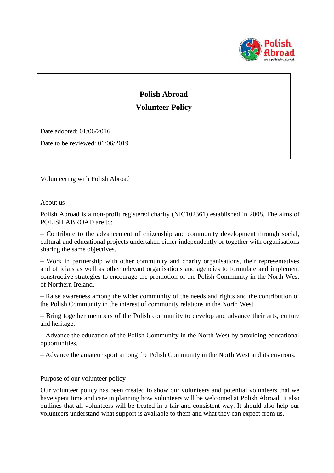

# **Polish Abroad Volunteer Policy**

Date adopted: 01/06/2016

Date to be reviewed: 01/06/2019

Volunteering with Polish Abroad

About us

Polish Abroad is a non-profit registered charity (NIC102361) established in 2008. The aims of POLISH ABROAD are to:

– Contribute to the advancement of citizenship and community development through social, cultural and educational projects undertaken either independently or together with organisations sharing the same objectives.

– Work in partnership with other community and charity organisations, their representatives and officials as well as other relevant organisations and agencies to formulate and implement constructive strategies to encourage the promotion of the Polish Community in the North West of Northern Ireland.

– Raise awareness among the wider community of the needs and rights and the contribution of the Polish Community in the interest of community relations in the North West.

– Bring together members of the Polish community to develop and advance their arts, culture and heritage.

– Advance the education of the Polish Community in the North West by providing educational opportunities.

– Advance the amateur sport among the Polish Community in the North West and its environs.

Purpose of our volunteer policy

Our volunteer policy has been created to show our volunteers and potential volunteers that we have spent time and care in planning how volunteers will be welcomed at Polish Abroad. It also outlines that all volunteers will be treated in a fair and consistent way. It should also help our volunteers understand what support is available to them and what they can expect from us.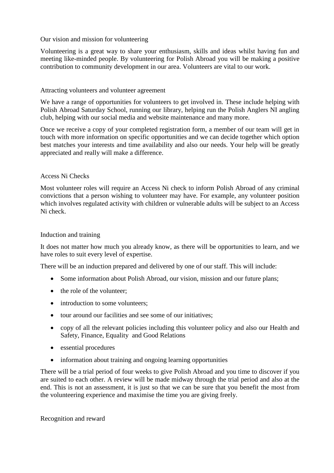## Our vision and mission for volunteering

Volunteering is a great way to share your enthusiasm, skills and ideas whilst having fun and meeting like-minded people. By volunteering for Polish Abroad you will be making a positive contribution to community development in our area. Volunteers are vital to our work.

## Attracting volunteers and volunteer agreement

We have a range of opportunities for volunteers to get involved in. These include helping with Polish Abroad Saturday School, running our library, helping run the Polish Anglers NI angling club, helping with our social media and website maintenance and many more.

Once we receive a copy of your completed registration form, a member of our team will get in touch with more information on specific opportunities and we can decide together which option best matches your interests and time availability and also our needs. Your help will be greatly appreciated and really will make a difference.

## Access Ni Checks

Most volunteer roles will require an Access Ni check to inform Polish Abroad of any criminal convictions that a person wishing to volunteer may have. For example, any volunteer position which involves regulated activity with children or vulnerable adults will be subject to an Access Ni check.

#### Induction and training

It does not matter how much you already know, as there will be opportunities to learn, and we have roles to suit every level of expertise.

There will be an induction prepared and delivered by one of our staff. This will include:

- Some information about Polish Abroad, our vision, mission and our future plans;
- the role of the volunteer;
- introduction to some volunteers;
- tour around our facilities and see some of our initiatives:
- copy of all the relevant policies including this volunteer policy and also our Health and Safety, Finance, Equality and Good Relations
- essential procedures
- information about training and ongoing learning opportunities

There will be a trial period of four weeks to give Polish Abroad and you time to discover if you are suited to each other. A review will be made midway through the trial period and also at the end. This is not an assessment, it is just so that we can be sure that you benefit the most from the volunteering experience and maximise the time you are giving freely.

Recognition and reward